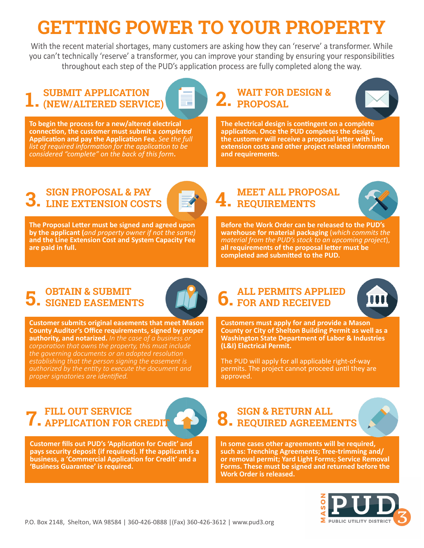## **GETTING POWER TO YOUR PROPERTY**

With the recent material shortages, many customers are asking how they can 'reserve' a transformer. While you can't technically 'reserve' a transformer, you can improve your standing by ensuring your responsibilities throughout each step of the PUD's application process are fully completed along the way.

### **1.** SUBMIT APPLICATION **2.** WAIT FOR DESIGN & **1.** (NEW/ALTERED SERVICE) **SUBMIT APPLICATION**

**To begin the process for a new/altered electrical connection, the customer must submit a** *completed* **Application and pay the Application Fee.** *See the full list of required information for the application to be considered "complete" on the back of this form***.** 

# Z. PROPOSAL



**The electrical design is contingent on a complete application. Once the PUD completes the design, the customer will receive a proposal letter with line extension costs and other project related information and requirements.**

## **3.** EINE EXTENSION COSTS **1**



**The Proposal Letter must be signed and agreed upon by the applicant (***and property owner if not the same)*  **and the Line Extension Cost and System Capacity Fee are paid in full.** 

#### **MEET ALL PROPOSAL REQUIREMENTS**



**Before the Work Order can be released to the PUD's warehouse for material packaging** (*which commits the material from the PUD's stock to an upcoming project*), **all requirements of the proposal letter must be completed and submitted to the PUD.** 

#### **5. OBTAIN & SUBMIT SIGNED EASEMENTS**



**Customer submits original easements that meet Mason County Auditor's Office requirements, signed by proper authority, and notarized.** *In the case of a business or corporation that owns the property, this must include the governing documents or an adopted resolution establishing that the person signing the easement is proper signatories are identified.*

### **6. FOR AND RECEIVED ALL PERMITS APPLIED**



**Customers must apply for and provide a Mason County or City of Shelton Building Permit as well as a Washington State Department of Labor & Industries (L&I) Electrical Permit.** 

The PUD will apply for all applicable right-of-way permits. The project cannot proceed until they are approved.

#### **7. FILL OUT SERVICE APPLICATION FOR CREDIT**



**Customer fills out PUD's 'Application for Credit' and pays security deposit (if required). If the applicant is a business, a 'Commercial Application for Credit' and a 'Business Guarantee' is required.** 

### **8. REQUIRED AGREEMENTS SIGN & RETURN ALL**

**In some cases other agreements will be required, such as: Trenching Agreements; Tree-trimming and/ or removal permit; Yard Light Forms; Service Removal Forms. These must be signed and returned before the Work Order is released.**